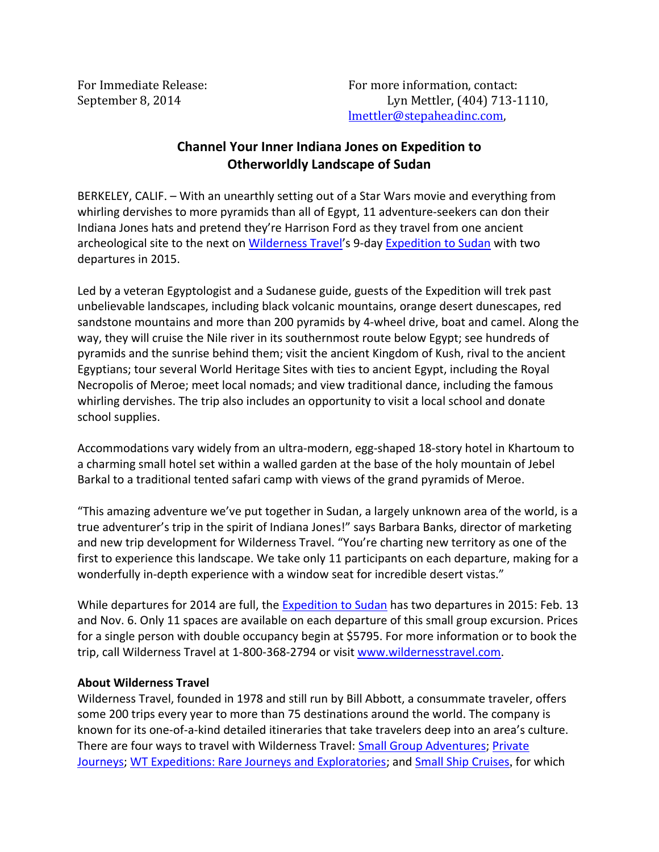## **Channel Your Inner Indiana Jones on Expedition to Otherworldly Landscape of Sudan**

BERKELEY, CALIF. – With an unearthly setting out of a Star Wars movie and everything from whirling dervishes to more pyramids than all of Egypt, 11 adventure-seekers can don their Indiana Jones hats and pretend they're Harrison Ford as they travel from one ancient archeological site to the next on [Wilderness Travel's](http://www.wildernesstravel.com/) 9-day [Expedition to Sudan](http://www.wildernesstravel.com/trip/sudan/meroe-pyramid-jebel-berkal-nubian-desert-camping) with two departures in 2015.

Led by a veteran Egyptologist and a Sudanese guide, guests of the Expedition will trek past unbelievable landscapes, including black volcanic mountains, orange desert dunescapes, red sandstone mountains and more than 200 pyramids by 4-wheel drive, boat and camel. Along the way, they will cruise the Nile river in its southernmost route below Egypt; see hundreds of pyramids and the sunrise behind them; visit the ancient Kingdom of Kush, rival to the ancient Egyptians; tour several World Heritage Sites with ties to ancient Egypt, including the Royal Necropolis of Meroe; meet local nomads; and view traditional dance, including the famous whirling dervishes. The trip also includes an opportunity to visit a local school and donate school supplies.

Accommodations vary widely from an ultra-modern, egg-shaped 18-story hotel in Khartoum to a charming small hotel set within a walled garden at the base of the holy mountain of Jebel Barkal to a traditional tented safari camp with views of the grand pyramids of Meroe.

"This amazing adventure we've put together in Sudan, a largely unknown area of the world, is a true adventurer's trip in the spirit of Indiana Jones!" says Barbara Banks, director of marketing and new trip development for Wilderness Travel. "You're charting new territory as one of the first to experience this landscape. We take only 11 participants on each departure, making for a wonderfully in-depth experience with a window seat for incredible desert vistas."

While departures for 2014 are full, the [Expedition to Sudan](http://www.wildernesstravel.com/trip/sudan/meroe-pyramid-jebel-berkal-nubian-desert-camping) has two departures in 2015: Feb. 13 and Nov. 6. Only 11 spaces are available on each departure of this small group excursion. Prices for a single person with double occupancy begin at \$5795. For more information or to book the trip, call Wilderness Travel at 1-800-368-2794 or visit [www.wildernesstravel.com.](http://www.wildernesstravel.com)

## **About Wilderness Travel**

Wilderness Travel, founded in 1978 and still run by Bill Abbott, a consummate traveler, offers some 200 trips every year to more than 75 destinations around the world. The company is known for its one-of-a-kind detailed itineraries that take travelers deep into an area's culture. There are four ways to travel with Wilderness Travel: [Small Group Adventures;](http://www.wildernesstravel.com/our-trips/small-group-adventures) [Private](http://www.wildernesstravel.com/our-trips/private-journeys)  [Journeys;](http://www.wildernesstravel.com/our-trips/private-journeys) [WT Expeditions: Rare Journeys and Exploratories;](http://www.wildernesstravel.com/our-trips/wt-expeditions) and [Small Ship Cruises](http://www.wildernesstravel.com/our-trips/small-ship-cruises), for which